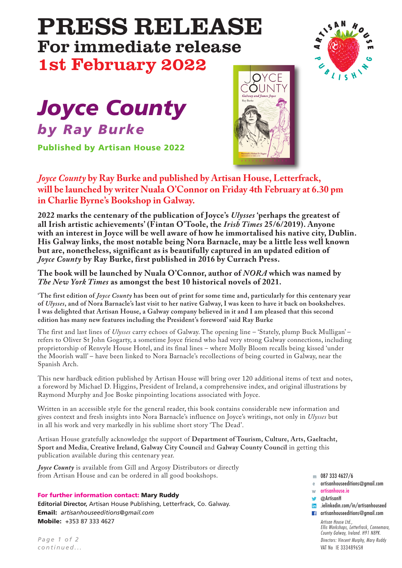## PRESS RELEASE For immediate release 1st February 2022



# *Joyce County by Ray Burke*

**Published by Artisan House 2022**



*Joyce County* **by Ray Burke and published by Artisan House, Letterfrack, will be launched by writer Nuala O'Connor on Friday 4th February at 6.30 pm in Charlie Byrne's Bookshop in Galway.**

**2022 marks the centenary of the publication of Joyce's** *Ulysses* **'perhaps the greatest of all Irish artistic achievements' (Fintan O'Toole, the** *Irish Times* **25/6/2019). Anyone with an interest in Joyce will be well aware of how he immortalised his native city, Dublin. His Galway links, the most notable being Nora Barnacle, may be a little less well known but are, nonetheless, significant as is beautifully captured in an updated edition of** *Joyce County* **by Ray Burke, first published in 2016 by Currach Press.**

### **The book will be launched by Nuala O'Connor, author of** *NORA* **which was named by** *The New York Times* **as amongst the best 10 historical novels of 2021.**

'The first edition of Joyce County has been out of print for some time and, particularly for this centenary year of Ulysses, and of Nora Barnacle's last visit to her native Galway, I was keen to have it back on bookshelves. I was delighted that Artisan House, a Galway company believed in it and I am pleased that this second **edition has many new features including the President's foreword'said Ray Burke**

The first and last lines of *Ulysses* carry echoes of Galway. The opening line – 'Stately, plump Buck Mulligan' – refers to Oliver St John Gogarty, a sometime Joyce friend who had very strong Galway connections, including proprietorship of Renvyle House Hotel, and its final lines – where Molly Bloom recalls being kissed 'under the Moorish wall' – have been linked to Nora Barnacle's recollections of being courted in Galway, near the Spanish Arch.

This new hardback edition published by Artisan House will bring over 120 additional items of text and notes, a foreword by Michael D. Higgins, President of Ireland, a comprehensive index, and original illustrations by Raymond Murphy and Joe Boske pinpointing locations associated with Joyce.

Written in an accessible style for the general reader, this book contains considerable new information and gives context and fresh insights into Nora Barnacle's influence on Joyce's writings, not only in *Ulysses* but in all his work and very markedly in his sublime short story 'The Dead'.

Artisan House gratefully acknowledge the support of **Department of Tourism, Culture, Arts, Gaeltacht, Sport and Media**, **Creative Ireland**, **Galway City Council** and **Galway County Council** in getting this publication available during this centenary year.

*Joyce County* is available from Gill and Argosy Distributors or directly from Artisan House and can be ordered in all good bookshops.

### **For further information contact: Mary Ruddy**

**Editorial Director,** Artisan House Publishing, Letterfrack, Co. Galway. **Email:** *artisanhouseeditions@gmail.com* **Mobile:** +353 87 333 4627

*P age 1 of 2 continued. . .*

- 087 333 4627/6 **m**
- artisanhouseeditions@gmail.com **e**
- artisanhouse.ie **w**
- **@ArtisanH**
- .ielinkedin.com/in/artisanhouseed **1** artisanhouseeditions@gmail.com

*Artisan House Ltd., Ellis Workshops, Letterfrack, Connemara, County Galway, Ireland. H91 N8PK. Directors: Vincent Murphy, Mary Ruddy* VAT No IE 3334896SH